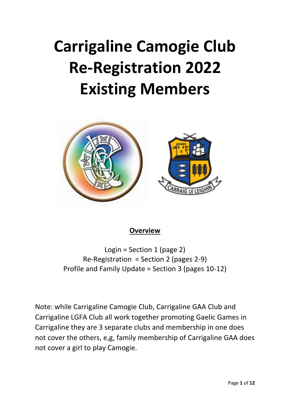# **Carrigaline Camogie Club Re-Registration 2022 Existing Members**



# **Overview**

Login = Section 1 (page 2) Re-Registration = Section 2 (pages 2-9) Profile and Family Update = Section 3 (pages 10-12)

Note: while Carrigaline Camogie Club, Carrigaline GAA Club and Carrigaline LGFA Club all work together promoting Gaelic Games in Carrigaline they are 3 separate clubs and membership in one does not cover the others, e,g, family membership of Carrigaline GAA does not cover a girl to play Camogie.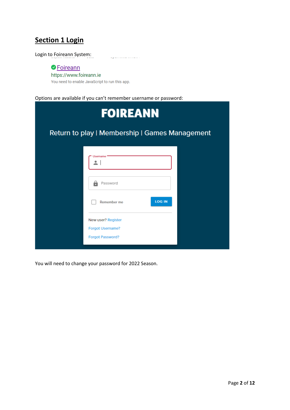# **Section 1 Login**

Login to Foireann System: - September 1990 (1990)

> **O**Foireann https://www.foireann.ie You need to enable JavaScript to run this app.

Options are available if you can't remember username or password:

| <b>FOIREANN</b>                                                                           |  |  |  |  |  |  |  |
|-------------------------------------------------------------------------------------------|--|--|--|--|--|--|--|
| Return to play   Membership   Games Management                                            |  |  |  |  |  |  |  |
| Username<br>٠<br>-<br>A<br>Password<br><b>LOG IN</b><br>Remember me<br>New user? Register |  |  |  |  |  |  |  |
| <b>Forgot Username?</b><br>Forgot Password?                                               |  |  |  |  |  |  |  |

You will need to change your password for 2022 Season.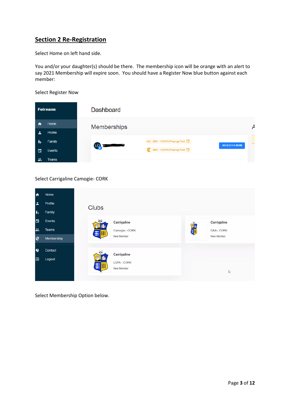# **Section 2 Re-Registration**

Select Home on left hand side.

You and/or your daughter(s) should be there. The membership icon will be orange with an alert to say 2021 Membership will expire soon. You should have a Register Now blue button against each member:

Select Register Now

|        | <b>Foireann</b>        | <b>Dashboard</b>   |                                                                       |                     |  |
|--------|------------------------|--------------------|-----------------------------------------------------------------------|---------------------|--|
| п      | Home<br>Profile        | <b>Memberships</b> |                                                                       | A                   |  |
| ı.     | Family                 | $\frac{10}{2}$     | LGFA 2021 - YOUTH (Playing) Paid (C)<br>2021 - YOUTH (Playing) Paid ( | <b>REGISTER NOW</b> |  |
| 崮<br>∹ | Events<br><b>Teams</b> |                    |                                                                       |                     |  |

### Select Carrigaline Camogie- CORK



Select Membership Option below.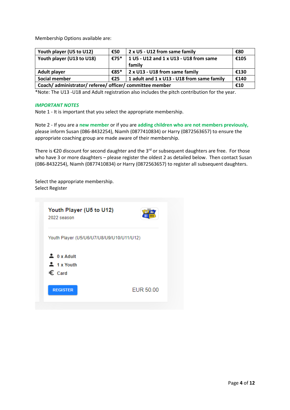Membership Options available are:

| Youth player (U5 to U12)                                    | €50  | 2 x U5 - U12 from same family              | €80  |  |
|-------------------------------------------------------------|------|--------------------------------------------|------|--|
| Youth player (U13 to U18)                                   | €75* | 1 U5 - U12 and 1 x U13 - U18 from same     | €105 |  |
|                                                             |      | family                                     |      |  |
| <b>Adult player</b>                                         | €85* | 2 x U13 - U18 from same family             | €130 |  |
| Social member                                               | €25  | 1 adult and 1 x U13 - U18 from same family | €140 |  |
| Coach/administrator/referee/officer/committee member<br>€10 |      |                                            |      |  |

\*Note: The U13 -U18 and Adult registration also includes the pitch contribution for the year.

### *IMPORTANT NOTES*

Note 1 - It is important that you select the appropriate membership.

Note 2 - If you are a **new member** or if you are **adding children who are not members previously,** please inform Susan (086-8432254), Niamh (0877410834) or Harry (0872563657) to ensure the appropriate coaching group are made aware of their membership.

There is  $\epsilon$ 20 discount for second daughter and the 3<sup>rd</sup> or subsequent daughters are free. For those who have 3 or more daughters – please register the oldest 2 as detailed below. Then contact Susan (086-8432254), Niamh (0877410834) or Harry (0872563657) to register all subsequent daughters.

Select the appropriate membership. Select Register

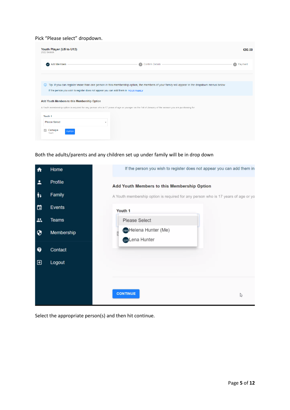# Pick "Please select" dropdown.

| Youth Player (U5 to U12)<br>2022 Season                                            |                                                                                                                                                   | €50.00  |
|------------------------------------------------------------------------------------|---------------------------------------------------------------------------------------------------------------------------------------------------|---------|
| <b>Add Members</b><br>$\sim$                                                       | Confirm Details -<br>$\sqrt{2}$                                                                                                                   | Payment |
| If the person you wish to register does not appear you can add them in YOUR FAMILY | Tip: If you can register more than one person in this membership option, the members of your family will appear in the dropdown menus below       |         |
| Add Youth Members to this Membership Option                                        | A Youth membership option is required for any person who is 17 years of age or younger on the 1st of January of the season you are purchasing for |         |
| Youth 1                                                                            |                                                                                                                                                   |         |

# Both the adults/parents and any children set up under family will be in drop down

| A  | Home         | If the person you wish to register does not appear you can add them in            |   |
|----|--------------|-----------------------------------------------------------------------------------|---|
| ∸  | Profile      | Add Youth Members to this Membership Option                                       |   |
| ŧ, | Family       | A Youth membership option is required for any person who is 17 years of age or yo |   |
| ⊟  | Events       | Youth 1                                                                           |   |
| 盀  | <b>Teams</b> | Please Select                                                                     |   |
| ⊕  | Membership   | Helena Hunter (Me)                                                                |   |
| ◕  | Contact      | <b>Ch</b> Lena Hunter                                                             |   |
| Э  | Logout       |                                                                                   |   |
|    |              |                                                                                   |   |
|    |              |                                                                                   |   |
|    |              | <b>CONTINUE</b>                                                                   | ↳ |

Select the appropriate person(s) and then hit continue.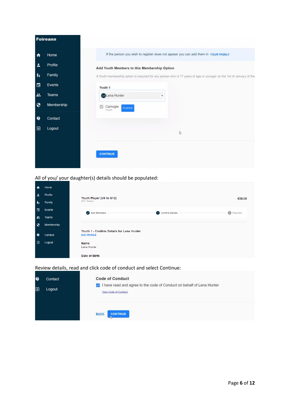|       | <b>Foireann</b> |                                                                                                                     |
|-------|-----------------|---------------------------------------------------------------------------------------------------------------------|
| A     | Home            | If the person you wish to register does not appear you can add them in YOUR FAMILY                                  |
| ∸     | Profile         | Add Youth Members to this Membership Option                                                                         |
| ij,   | Family          | A Youth membership option is required for any person who is 17 years of age or younger on the 1st of January of the |
| ⊟     | Events          | Youth 1                                                                                                             |
| 盀     | Teams           | <b>D</b> Lena Hunter                                                                                                |
| ⊕     | Membership      | Camogie<br>PLAYER<br>Youth                                                                                          |
| ℯ     | Contact         |                                                                                                                     |
| $\Xi$ | Logout          | V,                                                                                                                  |
|       |                 | <b>CONTINUE</b>                                                                                                     |

# All of you/ your daughter(s) details should be populated:

| 介                        | Home         |                                                                  |
|--------------------------|--------------|------------------------------------------------------------------|
| $\overline{\phantom{a}}$ | Profile      | Youth Player (U9 to U12)<br>€50.00                               |
| ÷,                       | Family       | 2021 Season                                                      |
| ⊟                        | Events       | 2 Confirm Details<br>Add Members<br>3 Payment                    |
| 芸                        | <b>Teams</b> |                                                                  |
| $\mathbf \Theta$         | Membership   |                                                                  |
| $\bullet$                | Contact      | Youth 1 - Confirm Details for Lena Hunter<br><b>EDIT PROFILE</b> |
| $\mathbf{E}$             | Logout       | <b>Name</b><br>Lena Hunter                                       |
|                          |              | Date of Birth                                                    |

Review details, read and click code of conduct and select Continue:

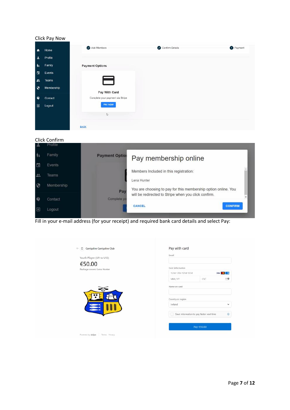### Click Pay Now

| Home         | Add Members                                       | Confirm Details | <sup>3</sup> Payment |
|--------------|---------------------------------------------------|-----------------|----------------------|
| Profile      |                                                   |                 |                      |
| Family       | <b>Payment Options</b>                            |                 |                      |
| Events       |                                                   |                 |                      |
| <b>Teams</b> | $\overline{\phantom{a}}$                          |                 |                      |
| Membership   |                                                   |                 |                      |
| Contact      | Pay With Card<br>Complete your payment via Stripe |                 |                      |
| Logout       | <b>PAY NOW</b>                                    |                 |                      |
|              | $\mathbb{N}$                                      |                 |                      |



Fill in your e-mail address (for your receipt) and required bank card details and select Pay:

| Carrigaline Carrigaline Club<br>$\leftarrow$ | Pay with card                                              |  |  |
|----------------------------------------------|------------------------------------------------------------|--|--|
| Youth Player (U9 to U12)                     | Email                                                      |  |  |
| €50.00                                       | Card information                                           |  |  |
| Package covers: Lena Hunter                  | <b>VISA D</b><br>1234 1234 1234 1234                       |  |  |
|                                              | $\bullet$<br>CVC<br>MM / YY                                |  |  |
|                                              | Name on card                                               |  |  |
|                                              | Country or region                                          |  |  |
|                                              | Ireland<br>$\checkmark$                                    |  |  |
|                                              | Save information to pay faster next time<br>$\circledcirc$ |  |  |
|                                              | Pay €50.00                                                 |  |  |
| Powered by stripe Terms Privacy              |                                                            |  |  |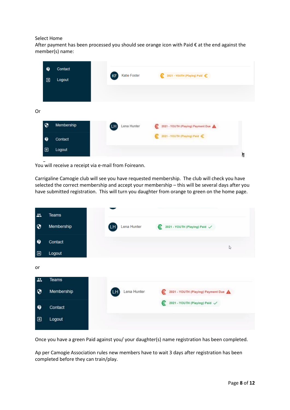### Select Home

After payment has been processed you should see orange icon with Paid € at the end against the member(s) name:

|    | ❸<br>$\boldsymbol{\Xi}$ | Contact<br>Logout | KF | Katie Foster | æ | 2021 - YOUTH (Playing) Paid €      |   |
|----|-------------------------|-------------------|----|--------------|---|------------------------------------|---|
| Or |                         |                   |    |              |   |                                    |   |
|    | 0                       | Membership        | LH | Lena Hunter  |   | 2021 - YOUTH (Playing) Payment Due |   |
|    | Q                       | Contact           |    |              |   | 2021 - YOUTH (Playing) Paid        |   |
|    | Э                       | Logout            |    |              |   |                                    | Ŋ |

You will receive a receipt via e-mail from Foireann.

Carrigaline Camogie club will see you have requested membership. The club will check you have selected the correct membership and accept your membership – this will be several days after you have submitted registration. This will turn you daughter from orange to green on the home page.

Once you have a green Paid against you/ your daughter(s) name registration has been completed.

Ap per Camogie Association rules new members have to wait 3 days after registration has been completed before they can train/play.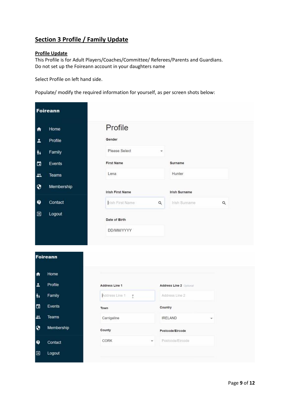# **Section 3 Profile / Family Update**

### **Profile Update**

This Profile is for Adult Players/Coaches/Committee/ Referees/Parents and Guardians. Do not set up the Foireann account in your daughters name

Select Profile on left hand side.

Populate/ modify the required information for yourself, as per screen shots below:

|                          | <b>Foireann</b> |                          |                         |   |
|--------------------------|-----------------|--------------------------|-------------------------|---|
| A                        | Home            | Profile                  |                         |   |
| ዹ                        | Profile         | Gender                   |                         |   |
| ħ                        | Family          | Please Select            | Υ.                      |   |
| □                        | Events          | <b>First Name</b>        | <b>Surname</b>          |   |
| 盐                        | Teams           | Lena                     | Hunter                  |   |
| ۰                        | Membership      | <b>Irish First Name</b>  | <b>Irish Surname</b>    |   |
| $\bullet$                | Contact         | Irish First Name         | Q<br>Irish Surname      | Q |
| Э                        | Logout          | Date of Birth            |                         |   |
|                          |                 | DD/MM/YYYY               |                         |   |
|                          | <b>Foireann</b> |                          |                         |   |
| ₩                        | Home            |                          |                         |   |
| $\overline{\phantom{a}}$ | Profile         | Address Line 1           | Address Line 2 Optional |   |
| ħ,                       | Family          | Address Line 1<br>$\tau$ | Address Line 2          |   |
| □                        | Events          | Town                     | Country                 |   |
| 盐                        | Teams           | Carrigaline              | <b>IRELAND</b><br>v     |   |
| $\bullet$                | Membership      | County                   | Postcode/Eircode        |   |
| 0                        | Contact         | CORK<br>۰                | Postcode/Eircode        |   |
| $\Xi$                    | Logout          |                          |                         |   |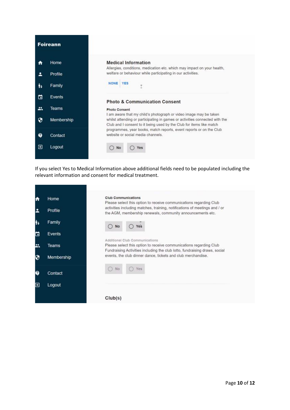

If you select Yes to Medical Information above additional fields need to be populated including the relevant information and consent for medical treatment.

| Home       | <b>Club Communications</b><br>Please select this option to receive communications regarding Club                                                 |
|------------|--------------------------------------------------------------------------------------------------------------------------------------------------|
| Profile    | activities including matches, training, notifications of meetings and / or<br>the AGM, membership renewals, community announcements etc.         |
| Family     | No<br>Yes                                                                                                                                        |
| Events     | Additional Club Communications                                                                                                                   |
| Teams      | Please select this option to receive communications regarding Club<br>Fundraising Activities including the club lotto, fundraising draws, social |
| Membership | events, the club dinner dance, tickets and club merchandise.                                                                                     |
| Contact    | No<br>Yes                                                                                                                                        |
| Logout     |                                                                                                                                                  |
|            | Club(s)                                                                                                                                          |
|            |                                                                                                                                                  |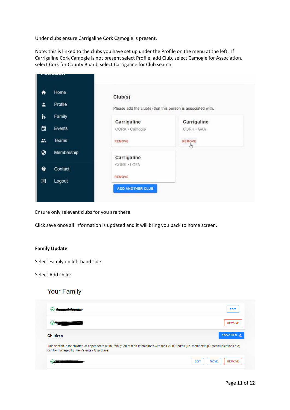Under clubs ensure Carrigaline Cork Camogie is present.

Note: this is linked to the clubs you have set up under the Profile on the menu at the left. If Carrigaline Cork Camogie is not present select Profile, add Club, select Camogie for Association, select Cork for County Board, select Carrigaline for Club search.

| A  | Home       | Club(s)          |                                                             |
|----|------------|------------------|-------------------------------------------------------------|
| ∸  | Profile    |                  | Please add the club(s) that this person is associated with. |
| ħ. | Family     | Carrigaline      | Carrigaline                                                 |
| □  | Events     | CORK · Camogie   | CORK · GAA                                                  |
| 盀  | Teams      | <b>REMOVE</b>    | <b>REMOVE</b><br>$\mathbb{F}_2$                             |
| ⊕  | Membership | Carrigaline      |                                                             |
| ଈ  | Contact    | CORK . LGFA      |                                                             |
| Ξ  | Logout     | <b>REMOVE</b>    |                                                             |
|    |            | ADD ANOTHER CLUB |                                                             |

Ensure only relevant clubs for you are there.

Click save once all information is updated and it will bring you back to home screen.

### **Family Update**

Select Family on left hand side.

Select Add child:

# **Your Family**

|                                                                                                                                                                                                  |  | <b>EDIT</b>                                 |
|--------------------------------------------------------------------------------------------------------------------------------------------------------------------------------------------------|--|---------------------------------------------|
|                                                                                                                                                                                                  |  | <b>REMOVE</b>                               |
| <b>Children</b>                                                                                                                                                                                  |  | ADD CHILD +2                                |
| This section is for children or dependents of the family. All of their interactions with their club / teams (i.e. membership / communications etc)<br>can be managed by the Parents / Guardians. |  |                                             |
|                                                                                                                                                                                                  |  | <b>EDIT</b><br><b>MOVE</b><br><b>REMOVE</b> |